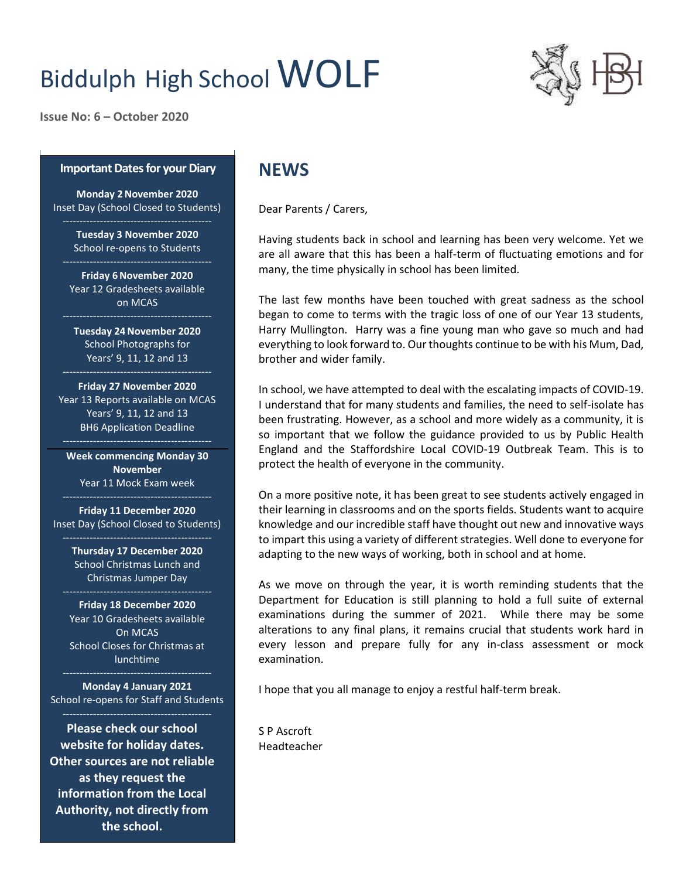# Biddulph High School WOLF



**Issue No: 6 – October 2020**

#### **Important Dates for your Diary**

**Monday 2November 2020** Inset Day (School Closed to Students)

> **Tuesday 3 November 2020** School re-opens to Students

**Friday 6November 2020** Year 12 Gradesheets available on MCAS

**Tuesday 24November 2020** School Photographs for Years' 9, 11, 12 and 13

**Friday 27 November 2020** Year 13 Reports available on MCAS Years' 9, 11, 12 and 13 BH6 Application Deadline

**Week commencing Monday 30 November** Year 11 Mock Exam week

**Friday 11 December 2020** Inset Day (School Closed to Students)

> **Thursday 17 December 2020** School Christmas Lunch and Christmas Jumper Day

**Friday 18 December 2020** Year 10 Gradesheets available On MCAS School Closes for Christmas at lunchtime

**Monday 4 January 2021** School re-opens for Staff and Students

**Please check our school website for holiday dates. Other sources are not reliable as they request the information from the Local Authority, not directly from the school.**

## **NEWS**

Dear Parents / Carers,

Having students back in school and learning has been very welcome. Yet we are all aware that this has been a half-term of fluctuating emotions and for many, the time physically in school has been limited.

The last few months have been touched with great sadness as the school began to come to terms with the tragic loss of one of our Year 13 students, Harry Mullington. Harry was a fine young man who gave so much and had everything to look forward to. Our thoughts continue to be with his Mum, Dad, brother and wider family.

In school, we have attempted to deal with the escalating impacts of COVID-19. I understand that for many students and families, the need to self-isolate has been frustrating. However, as a school and more widely as a community, it is so important that we follow the guidance provided to us by Public Health England and the Staffordshire Local COVID-19 Outbreak Team. This is to protect the health of everyone in the community.

On a more positive note, it has been great to see students actively engaged in their learning in classrooms and on the sports fields. Students want to acquire knowledge and our incredible staff have thought out new and innovative ways to impart this using a variety of different strategies. Well done to everyone for adapting to the new ways of working, both in school and at home.

As we move on through the year, it is worth reminding students that the Department for Education is still planning to hold a full suite of external examinations during the summer of 2021. While there may be some alterations to any final plans, it remains crucial that students work hard in every lesson and prepare fully for any in-class assessment or mock examination.

I hope that you all manage to enjoy a restful half-term break.

S P Ascroft Headteacher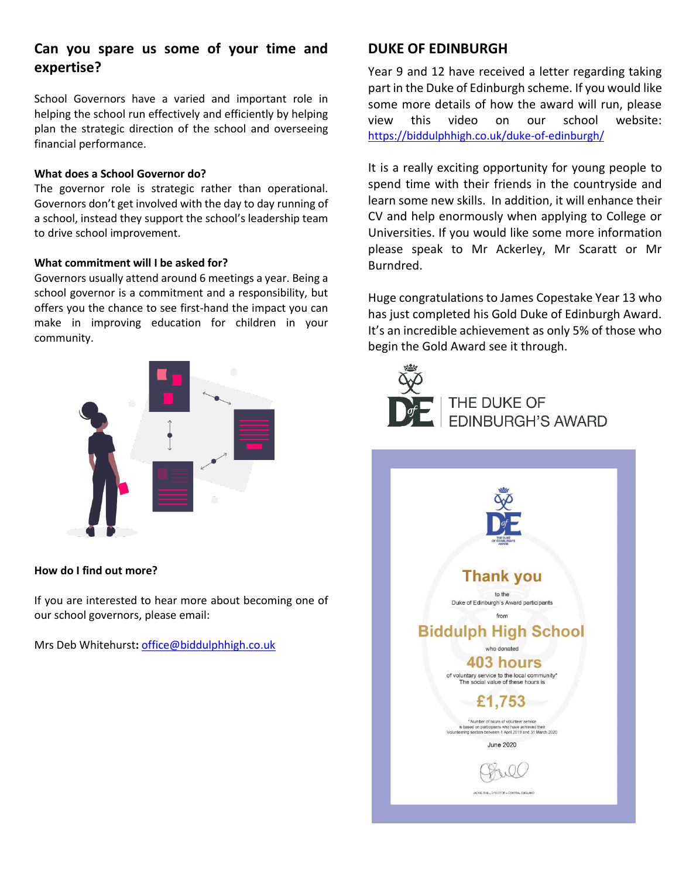## **Can you spare us some of your time and expertise?**

School Governors have a varied and important role in helping the school run effectively and efficiently by helping plan the strategic direction of the school and overseeing financial performance.

#### **What does a School Governor do?**

The governor role is strategic rather than operational. Governors don't get involved with the day to day running of a school, instead they support the school's leadership team to drive school improvement.

#### **What commitment will I be asked for?**

Governors usually attend around 6 meetings a year. Being a school governor is a commitment and a responsibility, but offers you the chance to see first-hand the impact you can make in improving education for children in your community.



#### **How do I find out more?**

If you are interested to hear more about becoming one of our school governors, please email:

Mrs Deb Whitehurst**:** [office@biddulphhigh.co.uk](mailto:office@biddulphhigh.co.uk)

### **DUKE OF EDINBURGH**

Year 9 and 12 have received a letter regarding taking part in the Duke of Edinburgh scheme. If you would like some more details of how the award will run, please view this video on our school website: <https://biddulphhigh.co.uk/duke-of-edinburgh/>

It is a really exciting opportunity for young people to spend time with their friends in the countryside and learn some new skills. In addition, it will enhance their CV and help enormously when applying to College or Universities. If you would like some more information please speak to Mr Ackerley, Mr Scaratt or Mr Burndred.

Huge congratulations to James Copestake Year 13 who has just completed his Gold Duke of Edinburgh Award. It's an incredible achievement as only 5% of those who begin the Gold Award see it through.



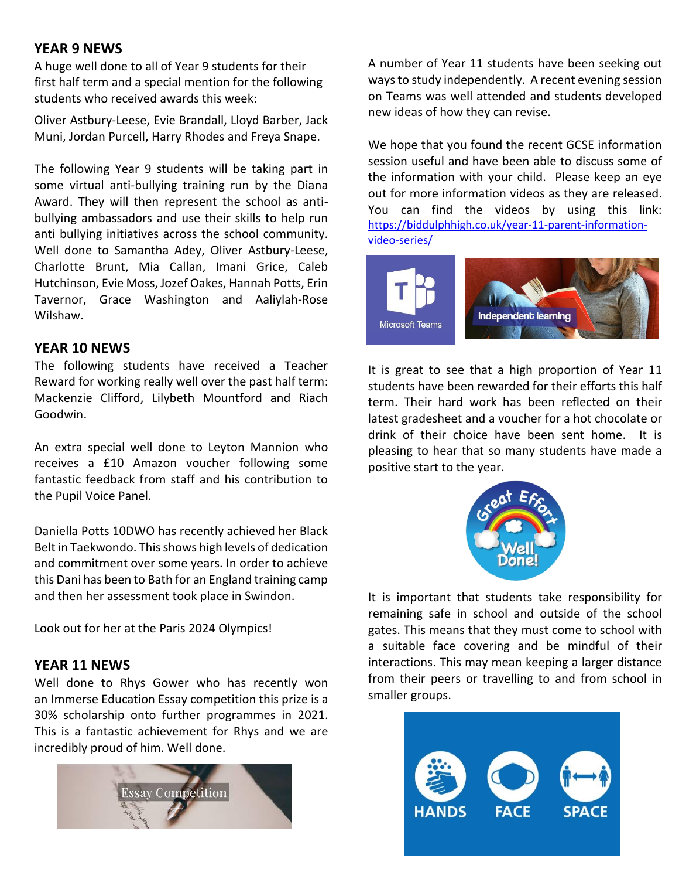## **YEAR 9 NEWS**

A huge well done to all of Year 9 students for their first half term and a special mention for the following students who received awards this week:

Oliver Astbury-Leese, Evie Brandall, Lloyd Barber, Jack Muni, Jordan Purcell, Harry Rhodes and Freya Snape.

The following Year 9 students will be taking part in some virtual anti-bullying training run by the Diana Award. They will then represent the school as antibullying ambassadors and use their skills to help run anti bullying initiatives across the school community. Well done to Samantha Adey, Oliver Astbury-Leese, Charlotte Brunt, Mia Callan, Imani Grice, Caleb Hutchinson, Evie Moss, Jozef Oakes, Hannah Potts, Erin Tavernor, Grace Washington and Aaliylah-Rose Wilshaw.

## **YEAR 10 NEWS**

The following students have received a Teacher Reward for working really well over the past half term: Mackenzie Clifford, Lilybeth Mountford and Riach Goodwin.

An extra special well done to Leyton Mannion who receives a £10 Amazon voucher following some fantastic feedback from staff and his contribution to the Pupil Voice Panel.

Daniella Potts 10DWO has recently achieved her Black Belt in Taekwondo. This shows high levels of dedication and commitment over some years. In order to achieve this Dani has been to Bath for an England training camp and then her assessment took place in Swindon.

Look out for her at the Paris 2024 Olympics!

## **YEAR 11 NEWS**

Well done to Rhys Gower who has recently won an Immerse Education Essay competition this prize is a 30% scholarship onto further programmes in 2021. This is a fantastic achievement for Rhys and we are incredibly proud of him. Well done.



A number of Year 11 students have been seeking out ways to study independently. A recent evening session on Teams was well attended and students developed new ideas of how they can revise.

We hope that you found the recent GCSE information session useful and have been able to discuss some of the information with your child. Please keep an eye out for more information videos as they are released. You can find the videos by using this link: [https://biddulphhigh.co.uk/year-11-parent-information](https://biddulphhigh.co.uk/year-11-parent-information-video-series/)[video-series/](https://biddulphhigh.co.uk/year-11-parent-information-video-series/)



It is great to see that a high proportion of Year 11 students have been rewarded for their efforts this half term. Their hard work has been reflected on their latest gradesheet and a voucher for a hot chocolate or drink of their choice have been sent home. It is pleasing to hear that so many students have made a positive start to the year.



It is important that students take responsibility for remaining safe in school and outside of the school gates. This means that they must come to school with a suitable face covering and be mindful of their interactions. This may mean keeping a larger distance from their peers or travelling to and from school in smaller groups.